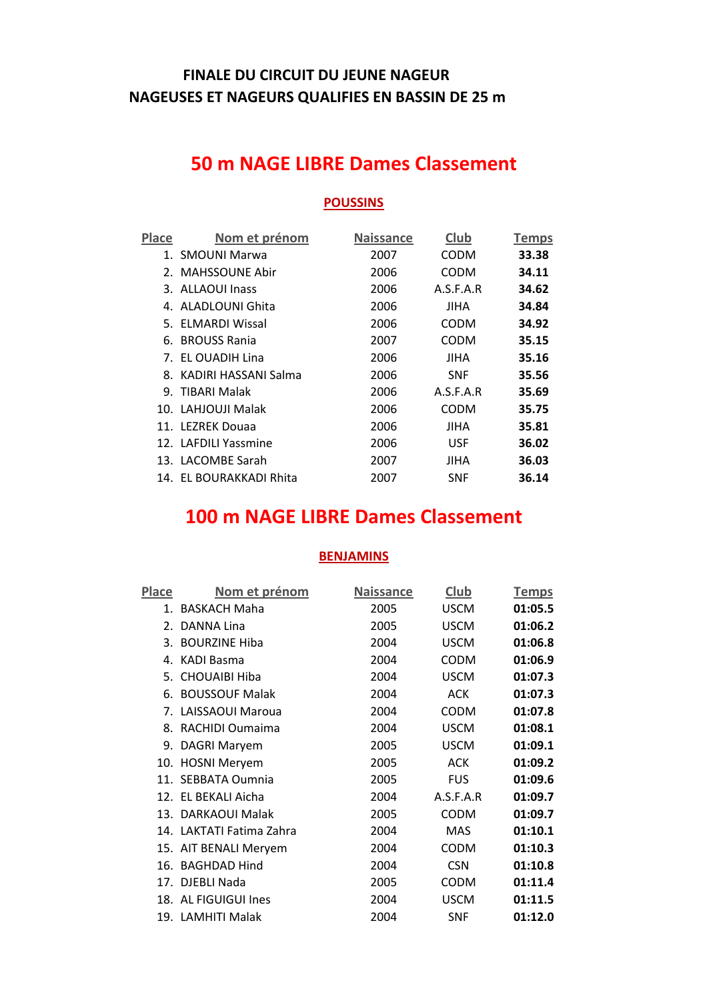### **FINALE DU CIRCUIT DU JEUNE NAGEUR NAGEUSES ET NAGEURS QUALIFIES EN BASSIN DE 25 m**

### **50 m NAGE LIBRE Dames Classement**

#### **POUSSINS**

| Place | Nom et prénom           | <b>Naissance</b> | Club       | <b>Temps</b> |
|-------|-------------------------|------------------|------------|--------------|
|       | 1. SMOUNI Marwa         | 2007             | CODM       | 33.38        |
|       | 2. MAHSSOUNE Abir       | 2006             | CODM       | 34.11        |
|       | 3. ALLAOUI Inass        | 2006             | A.S.F.A.R  | 34.62        |
|       | 4. ALADLOUNI Ghita      | 2006             | JIHA       | 34.84        |
|       | 5. FLMARDI Wissal       | 2006             | CODM       | 34.92        |
|       | 6. BROUSS Rania         | 2007             | CODM       | 35.15        |
|       | 7. EL OUADIH Lina       | 2006             | JIHA       | 35.16        |
|       | 8. KADIRI HASSANI Salma | 2006             | <b>SNF</b> | 35.56        |
|       | 9. TIBARI Malak         | 2006             | A.S.F.A.R  | 35.69        |
|       | 10. LAHJOUJI Malak      | 2006             | CODM       | 35.75        |
|       | 11. LEZREK Douaa        | 2006             | JIHA       | 35.81        |
|       | 12. LAFDILI Yassmine    | 2006             | <b>USF</b> | 36.02        |
|       | 13. LACOMBE Sarah       | 2007             | JIHA       | 36.03        |
|       | 14. EL BOURAKKADI Rhita | 2007             | <b>SNF</b> | 36.14        |

### **100 m NAGE LIBRE Dames Classement**

| Place   | Nom et prénom            | <b>Naissance</b> | Club        | <b>Temps</b> |
|---------|--------------------------|------------------|-------------|--------------|
|         | 1. BASKACH Maha          | 2005             | <b>USCM</b> | 01:05.5      |
| $2_{1}$ | DANNA Lina               | 2005             | <b>USCM</b> | 01:06.2      |
| 3.      | <b>BOURZINE Hiba</b>     | 2004             | <b>USCM</b> | 01:06.8      |
| 4.      | <b>KADI Basma</b>        | 2004             | <b>CODM</b> | 01:06.9      |
|         | 5. CHOUAIBI Hiba         | 2004             | <b>USCM</b> | 01:07.3      |
| 6.      | <b>BOUSSOUF Malak</b>    | 2004             | <b>ACK</b>  | 01:07.3      |
|         | 7. LAISSAOUI Maroua      | 2004             | <b>CODM</b> | 01:07.8      |
| 8.      | RACHIDI Oumaima          | 2004             | <b>USCM</b> | 01:08.1      |
|         | 9. DAGRI Maryem          | 2005             | <b>USCM</b> | 01:09.1      |
|         | 10. HOSNI Meryem         | 2005             | <b>ACK</b>  | 01:09.2      |
|         | 11. SEBBATA Oumnia       | 2005             | <b>FUS</b>  | 01:09.6      |
| 12.     | EL BEKALI Aicha          | 2004             | A.S.F.A.R   | 01:09.7      |
| 13.     | DARKAOUI Malak           | 2005             | <b>CODM</b> | 01:09.7      |
|         | 14. LAKTATI Fatima Zahra | 2004             | MAS         | 01:10.1      |
|         | 15. AIT BENALI Meryem    | 2004             | <b>CODM</b> | 01:10.3      |
|         | 16. BAGHDAD Hind         | 2004             | <b>CSN</b>  | 01:10.8      |
|         | 17. DJEBLI Nada          | 2005             | <b>CODM</b> | 01:11.4      |
|         | 18. AL FIGUIGUI Ines     | 2004             | <b>USCM</b> | 01:11.5      |
|         | 19. LAMHITI Malak        | 2004             | <b>SNF</b>  | 01:12.0      |
|         |                          |                  |             |              |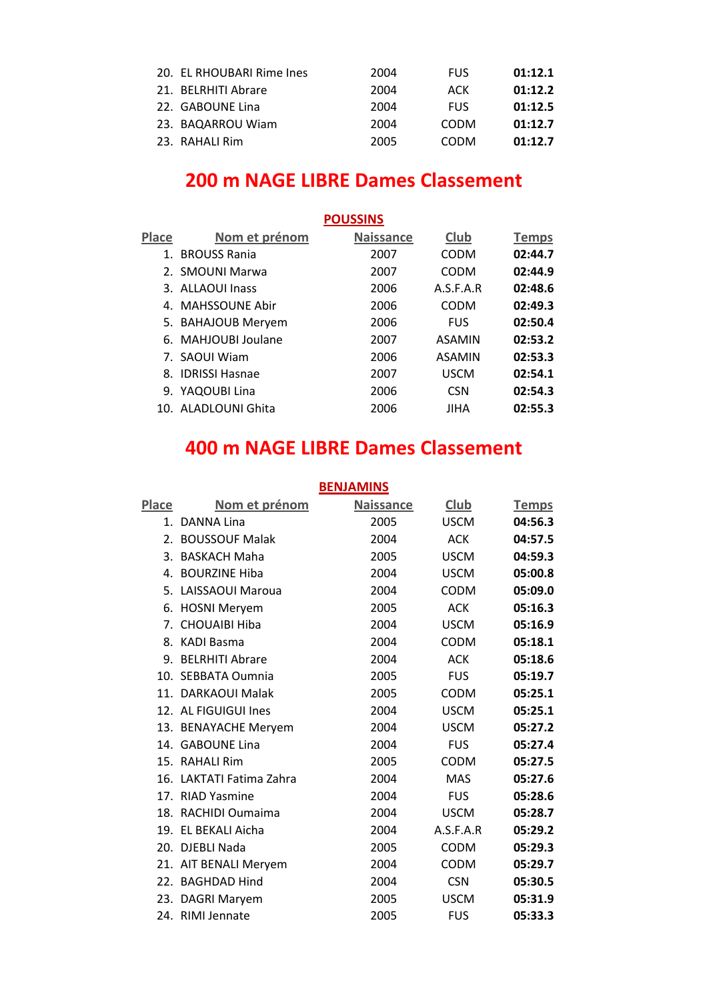| 20. EL RHOUBARI Rime Ines | 2004 | <b>FUS</b>  | 01:12.1 |
|---------------------------|------|-------------|---------|
| 21. BELRHITI Abrare       | 2004 | ACK         | 01:12.2 |
| 22. GABOUNE Lina          | 2004 | <b>FUS</b>  | 01:12.5 |
| 23. BAQARROU Wiam         | 2004 | <b>CODM</b> | 01:12.7 |
| 23. RAHALI Rim            | 2005 | CODM        | 01:12.7 |

# **200 m NAGE LIBRE Dames Classement**

|       | <b>POUSSINS</b>     |                  |               |              |  |
|-------|---------------------|------------------|---------------|--------------|--|
| Place | Nom et prénom       | <b>Naissance</b> | Club          | <b>Temps</b> |  |
| 1.    | <b>BROUSS Rania</b> | 2007             | <b>CODM</b>   | 02:44.7      |  |
|       | 2. SMOUNI Marwa     | 2007             | <b>CODM</b>   | 02:44.9      |  |
|       | 3. ALLAOUI Inass    | 2006             | A.S.F.A.R     | 02:48.6      |  |
|       | 4. MAHSSOUNE Abir   | 2006             | CODM          | 02:49.3      |  |
|       | 5. BAHAJOUB Meryem  | 2006             | <b>FUS</b>    | 02:50.4      |  |
|       | 6. MAHJOUBI Joulane | 2007             | ASAMIN        | 02:53.2      |  |
|       | 7. SAOUI Wiam       | 2006             | <b>ASAMIN</b> | 02:53.3      |  |
|       | 8. IDRISSI Hasnae   | 2007             | <b>USCM</b>   | 02:54.1      |  |
|       | 9. YAQOUBI Lina     | 2006             | <b>CSN</b>    | 02:54.3      |  |
|       | 10. ALADLOUNI Ghita | 2006             | JIHA          | 02:55.3      |  |

# **400 m NAGE LIBRE Dames Classement**

| <b>BENJAMINS</b> |                          |                  |             |              |
|------------------|--------------------------|------------------|-------------|--------------|
| Place            | Nom et prénom            | <b>Naissance</b> | Club        | <b>Temps</b> |
| $1_{-}$          | DANNA Lina               | 2005             | <b>USCM</b> | 04:56.3      |
| 2.               | <b>BOUSSOUF Malak</b>    | 2004             | <b>ACK</b>  | 04:57.5      |
| 3.               | <b>BASKACH Maha</b>      | 2005             | <b>USCM</b> | 04:59.3      |
|                  | 4. BOURZINE Hiba         | 2004             | <b>USCM</b> | 05:00.8      |
|                  | 5. LAISSAOUI Maroua      | 2004             | <b>CODM</b> | 05:09.0      |
|                  | 6. HOSNI Meryem          | 2005             | <b>ACK</b>  | 05:16.3      |
| $7_{\cdot}$      | <b>CHOUAIBI Hiba</b>     | 2004             | <b>USCM</b> | 05:16.9      |
|                  | 8. KADI Basma            | 2004             | <b>CODM</b> | 05:18.1      |
| 9.               | <b>BELRHITI Abrare</b>   | 2004             | <b>ACK</b>  | 05:18.6      |
|                  | 10. SEBBATA Oumnia       | 2005             | <b>FUS</b>  | 05:19.7      |
|                  | 11. DARKAOUI Malak       | 2005             | <b>CODM</b> | 05:25.1      |
|                  | 12. AL FIGUIGUI Ines     | 2004             | <b>USCM</b> | 05:25.1      |
|                  | 13. BENAYACHE Meryem     | 2004             | <b>USCM</b> | 05:27.2      |
|                  | 14. GABOUNE Lina         | 2004             | <b>FUS</b>  | 05:27.4      |
|                  | 15. RAHALI Rim           | 2005             | <b>CODM</b> | 05:27.5      |
|                  | 16. LAKTATI Fatima Zahra | 2004             | <b>MAS</b>  | 05:27.6      |
| 17 <sub>1</sub>  | <b>RIAD Yasmine</b>      | 2004             | <b>FUS</b>  | 05:28.6      |
| 18.              | RACHIDI Oumaima          | 2004             | <b>USCM</b> | 05:28.7      |
| 19.              | <b>EL BEKALI Aicha</b>   | 2004             | A.S.F.A.R   | 05:29.2      |
|                  | 20. DJEBLI Nada          | 2005             | <b>CODM</b> | 05:29.3      |
|                  | 21. AIT BENALI Meryem    | 2004             | <b>CODM</b> | 05:29.7      |
|                  | 22. BAGHDAD Hind         | 2004             | <b>CSN</b>  | 05:30.5      |
|                  | 23. DAGRI Maryem         | 2005             | <b>USCM</b> | 05:31.9      |
|                  | 24. RIMI Jennate         | 2005             | <b>FUS</b>  | 05:33.3      |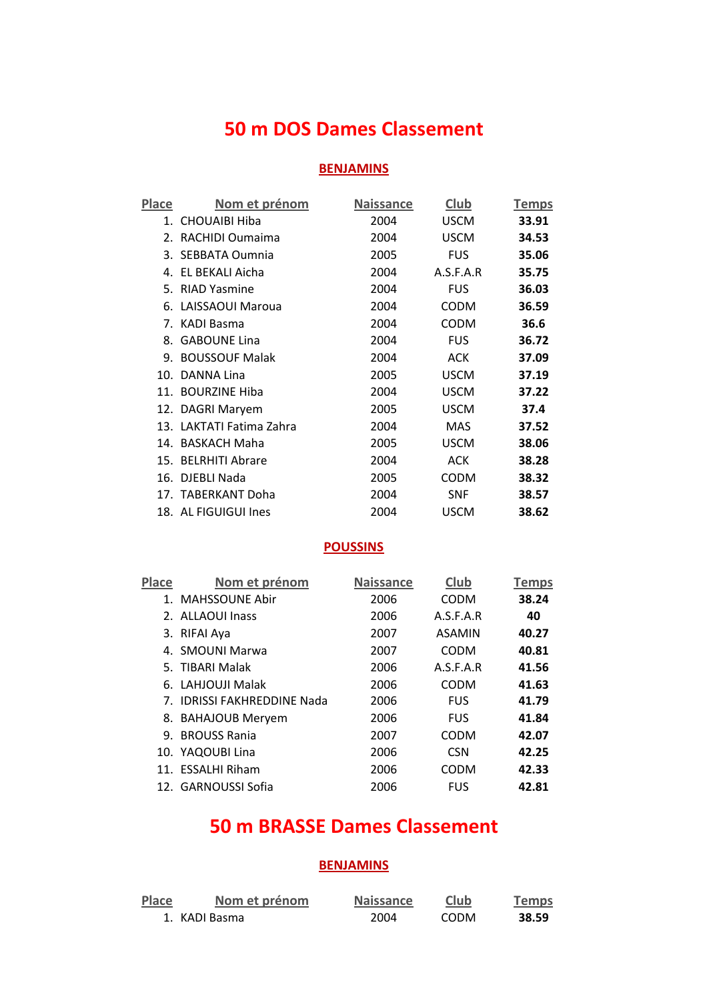### **50 m DOS Dames Classement**

#### **BENJAMINS**

| Place | Nom et prénom            | <b>Naissance</b> | <b>Club</b> | <b>Temps</b> |
|-------|--------------------------|------------------|-------------|--------------|
|       | 1. CHOUAIBI Hiba         | 2004             | <b>USCM</b> | 33.91        |
|       | 2. RACHIDI Oumaima       | 2004             | <b>USCM</b> | 34.53        |
|       | 3. SEBBATA Oumnia        | 2005             | <b>FUS</b>  | 35.06        |
|       | 4. EL BEKALI Aicha       | 2004             | A.S.F.A.R   | 35.75        |
|       | 5. RIAD Yasmine          | 2004             | <b>FUS</b>  | 36.03        |
|       | 6. LAISSAOUI Maroua      | 2004             | <b>CODM</b> | 36.59        |
|       | 7. KADI Basma            | 2004             | <b>CODM</b> | 36.6         |
|       | 8. GABOUNE Lina          | 2004             | <b>FUS</b>  | 36.72        |
|       | 9. BOUSSOUF Malak        | 2004             | <b>ACK</b>  | 37.09        |
|       | 10. DANNA Lina           | 2005             | <b>USCM</b> | 37.19        |
|       | 11. BOURZINE Hiba        | 2004             | <b>USCM</b> | 37.22        |
|       | 12. DAGRI Maryem         | 2005             | <b>USCM</b> | 37.4         |
|       | 13. LAKTATI Fatima Zahra | 2004             | MAS         | 37.52        |
|       | 14. BASKACH Maha         | 2005             | <b>USCM</b> | 38.06        |
|       | 15. BELRHITI Abrare      | 2004             | <b>ACK</b>  | 38.28        |
|       | 16. DJEBLI Nada          | 2005             | <b>CODM</b> | 38.32        |
|       | 17. TABERKANT Doha       | 2004             | <b>SNF</b>  | 38.57        |
|       | 18. AL FIGUIGUI Ines     | 2004             | <b>USCM</b> | 38.62        |

#### **POUSSINS**

| Place | Nom et prénom               | <b>Naissance</b> | Club          | <b>Temps</b> |
|-------|-----------------------------|------------------|---------------|--------------|
|       | 1. MAHSSOUNE Abir           | 2006             | <b>CODM</b>   | 38.24        |
|       | 2. ALLAOUI Inass            | 2006             | A.S.F.A.R     | 40           |
|       | 3. RIFAI Aya                | 2007             | <b>ASAMIN</b> | 40.27        |
|       | 4. SMOUNI Marwa             | 2007             | <b>CODM</b>   | 40.81        |
|       | 5. TIBARI Malak             | 2006             | A.S.F.A.R     | 41.56        |
|       | 6. LAHJOUJI Malak           | 2006             | CODM          | 41.63        |
|       | 7. IDRISSI FAKHRFDDINF Nada | 2006             | <b>FUS</b>    | 41.79        |
|       | 8. BAHAJOUB Meryem          | 2006             | <b>FUS</b>    | 41.84        |
|       | 9. BROUSS Rania             | 2007             | <b>CODM</b>   | 42.07        |
|       | 10. YAQOUBI Lina            | 2006             | <b>CSN</b>    | 42.25        |
|       | 11. ESSALHI Riham           | 2006             | CODM          | 42.33        |
|       | 12. GARNOUSSI Sofia         | 2006             | <b>FUS</b>    | 42.81        |

### **50 m BRASSE Dames Classement**

| Place | Nom et prénom | <b>Naissance</b> | Club        | <b>Temps</b> |
|-------|---------------|------------------|-------------|--------------|
|       | 1. KADI Basma | 2004             | <b>CODM</b> | 38.59        |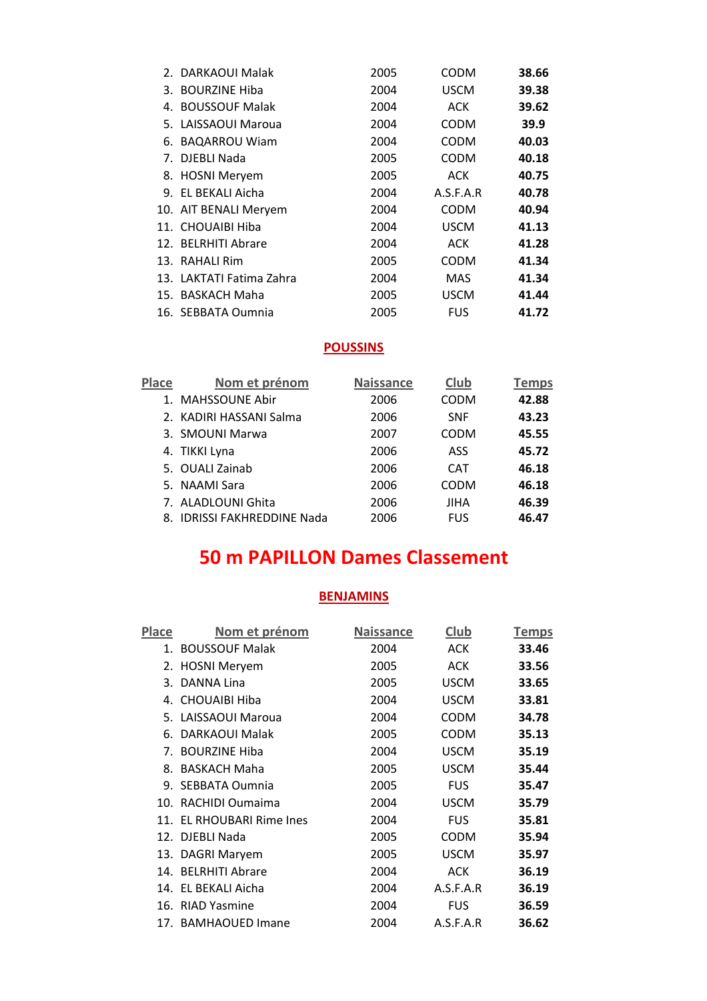| 2. DARKAOUI Malak        | 2005 | <b>CODM</b> | 38.66 |
|--------------------------|------|-------------|-------|
| 3. BOURZINE Hiba         | 2004 | <b>USCM</b> | 39.38 |
| 4. BOUSSOUF Malak        | 2004 | ACK         | 39.62 |
| 5. LAISSAOUI Maroua      | 2004 | <b>CODM</b> | 39.9  |
| 6. BAQARROU Wiam         | 2004 | <b>CODM</b> | 40.03 |
| 7. DJEBLI Nada           | 2005 | <b>CODM</b> | 40.18 |
| 8. HOSNI Meryem          | 2005 | ACK         | 40.75 |
| 9. EL BEKALI Aicha       | 2004 | A.S.F.A.R   | 40.78 |
| 10. AIT BENALI Meryem    | 2004 | <b>CODM</b> | 40.94 |
| 11. CHOUAIBI Hiba        | 2004 | <b>USCM</b> | 41.13 |
| 12. BELRHITI Abrare      | 2004 | ACK         | 41.28 |
| 13. RAHALI Rim           | 2005 | <b>CODM</b> | 41.34 |
| 13. LAKTATI Fatima Zahra | 2004 | MAS         | 41.34 |
| 15. BASKACH Maha         | 2005 | <b>USCM</b> | 41.44 |
| 16. SEBBATA Oumnia       | 2005 | <b>FUS</b>  | 41.72 |

| <b>Place</b> | Nom et prénom               | <b>Naissance</b> | Club        | <b>Temps</b> |
|--------------|-----------------------------|------------------|-------------|--------------|
|              | 1. MAHSSOUNE Abir           | 2006             | <b>CODM</b> | 42.88        |
|              | 2. KADIRI HASSANI Salma     | 2006             | <b>SNF</b>  | 43.23        |
|              | 3. SMOUNI Marwa             | 2007             | <b>CODM</b> | 45.55        |
|              | 4. TIKKI Lyna               | 2006             | ASS         | 45.72        |
|              | 5. OUALI Zainab             | 2006             | <b>CAT</b>  | 46.18        |
|              | 5. NAAMI Sara               | 2006             | CODM        | 46.18        |
|              | 7. ALADLOUNI Ghita          | 2006             | JIHA        | 46.39        |
|              | 8. IDRISSI FAKHREDDINE Nada | 2006             | <b>FUS</b>  | 46.47        |

# **50 m PAPILLON Dames Classement**

| Place | <u>Nom et prénom</u>      | <b>Naissance</b> | <b>Club</b> | <b>Temps</b> |
|-------|---------------------------|------------------|-------------|--------------|
|       | 1. BOUSSOUF Malak         | 2004             | <b>ACK</b>  | 33.46        |
|       | 2. HOSNI Meryem           | 2005             | <b>ACK</b>  | 33.56        |
|       | 3. DANNA Lina             | 2005             | <b>USCM</b> | 33.65        |
|       | 4. CHOUAIBI Hiba          | 2004             | <b>USCM</b> | 33.81        |
|       | 5. LAISSAOUI Maroua       | 2004             | <b>CODM</b> | 34.78        |
|       | 6. DARKAOUI Malak         | 2005             | <b>CODM</b> | 35.13        |
|       | 7. BOURZINE Hiba          | 2004             | <b>USCM</b> | 35.19        |
|       | 8. BASKACH Maha           | 2005             | <b>USCM</b> | 35.44        |
|       | 9. SEBBATA Oumnia         | 2005             | <b>FUS</b>  | 35.47        |
|       | 10. RACHIDI Oumaima       | 2004             | <b>USCM</b> | 35.79        |
|       | 11. EL RHOUBARI Rime Ines | 2004             | <b>FUS</b>  | 35.81        |
|       | 12. DJEBLI Nada           | 2005             | CODM        | 35.94        |
|       | 13. DAGRI Maryem          | 2005             | <b>USCM</b> | 35.97        |
|       | 14. BELRHITI Abrare       | 2004             | ACK         | 36.19        |
|       | 14. EL BEKALI Aicha       | 2004             | A.S.F.A.R   | 36.19        |
|       | 16. RIAD Yasmine          | 2004             | <b>FUS</b>  | 36.59        |
|       | 17. BAMHAOUED Imane       | 2004             | A.S.F.A.R   | 36.62        |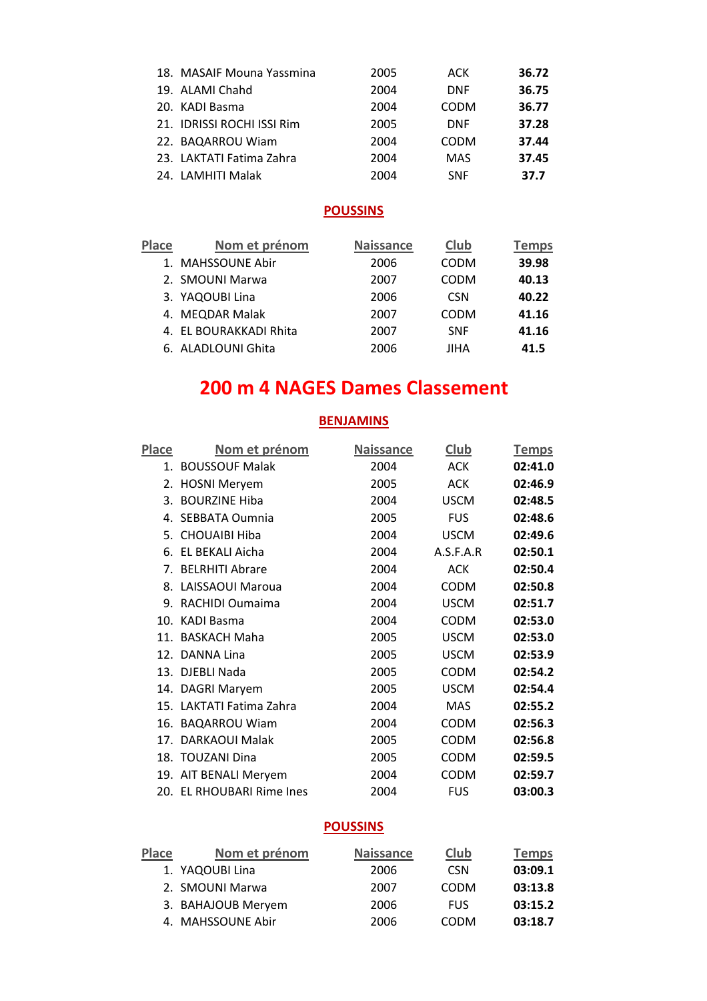| 18. MASAIF Mouna Yassmina  | 2005 | ACK         | 36.72 |
|----------------------------|------|-------------|-------|
| 19. ALAMI Chahd            | 2004 | <b>DNF</b>  | 36.75 |
| 20. KADI Basma             | 2004 | <b>CODM</b> | 36.77 |
| 21. IDRISSI ROCHI ISSI Rim | 2005 | <b>DNF</b>  | 37.28 |
| 22. BAQARROU Wiam          | 2004 | <b>CODM</b> | 37.44 |
| 23. LAKTATI Fatima Zahra   | 2004 | <b>MAS</b>  | 37.45 |
| 24. LAMHITI Malak          | 2004 | <b>SNF</b>  | 37.7  |

| <b>Place</b> | Nom et prénom          | <b>Naissance</b> | Club        | Temps |
|--------------|------------------------|------------------|-------------|-------|
|              | 1. MAHSSOUNE Abir      | 2006             | <b>CODM</b> | 39.98 |
|              | 2. SMOUNI Marwa        | 2007             | <b>CODM</b> | 40.13 |
|              | 3. YAQOUBI Lina        | 2006             | <b>CSN</b>  | 40.22 |
|              | 4. MEQDAR Malak        | 2007             | <b>CODM</b> | 41.16 |
|              | 4. EL BOURAKKADI Rhita | 2007             | <b>SNF</b>  | 41.16 |
|              | 6. ALADLOUNI Ghita     | 2006             | JIHA        | 41.5  |

### **200 m 4 NAGES Dames Classement**

#### **BENJAMINS**

| Place | <u>Nom et prénom</u>      | <b>Naissance</b> | <b>Club</b> | <u>Temps</u> |
|-------|---------------------------|------------------|-------------|--------------|
|       | 1. BOUSSOUF Malak         | 2004             | <b>ACK</b>  | 02:41.0      |
|       | 2. HOSNI Meryem           | 2005             | <b>ACK</b>  | 02:46.9      |
| 3.    | <b>BOURZINE Hiba</b>      | 2004             | <b>USCM</b> | 02:48.5      |
| 4.    | SEBBATA Oumnia            | 2005             | <b>FUS</b>  | 02:48.6      |
|       | 5. CHOUAIBI Hiba          | 2004             | <b>USCM</b> | 02:49.6      |
|       | 6. EL BEKALI Aicha        | 2004             | A.S.F.A.R   | 02:50.1      |
| 7.    | <b>BELRHITI Abrare</b>    | 2004             | <b>ACK</b>  | 02:50.4      |
| 8.    | <b>LAISSAOUI Maroua</b>   | 2004             | <b>CODM</b> | 02:50.8      |
| 9.    | RACHIDI Oumaima           | 2004             | <b>USCM</b> | 02:51.7      |
|       | 10. KADI Basma            | 2004             | <b>CODM</b> | 02:53.0      |
| 11.   | <b>BASKACH Maha</b>       | 2005             | <b>USCM</b> | 02:53.0      |
| 12.   | DANNA Lina                | 2005             | <b>USCM</b> | 02:53.9      |
|       | 13. DJEBLI Nada           | 2005             | <b>CODM</b> | 02:54.2      |
|       | 14. DAGRI Maryem          | 2005             | <b>USCM</b> | 02:54.4      |
|       | 15. LAKTATI Fatima Zahra  | 2004             | <b>MAS</b>  | 02:55.2      |
| 16.   | <b>BAQARROU Wiam</b>      | 2004             | <b>CODM</b> | 02:56.3      |
| 17.   | <b>DARKAOUI Malak</b>     | 2005             | <b>CODM</b> | 02:56.8      |
|       | 18. TOUZANI Dina          | 2005             | <b>CODM</b> | 02:59.5      |
| 19.   | AIT BENALI Meryem         | 2004             | <b>CODM</b> | 02:59.7      |
|       | 20. EL RHOUBARI Rime Ines | 2004             | <b>FUS</b>  | 03:00.3      |

#### **POUSSINS**

| <b>Place</b> | Nom et prénom      | <b>Naissance</b> | Club        | <b>Temps</b> |
|--------------|--------------------|------------------|-------------|--------------|
|              | 1. YAQOUBI Lina    | 2006             | <b>CSN</b>  | 03:09.1      |
|              | 2. SMOUNI Marwa    | 2007             | <b>CODM</b> | 03:13.8      |
|              | 3. BAHAJOUB Meryem | 2006             | <b>FUS</b>  | 03:15.2      |
|              | 4. MAHSSOUNE Abir  | 2006             | <b>CODM</b> | 03:18.7      |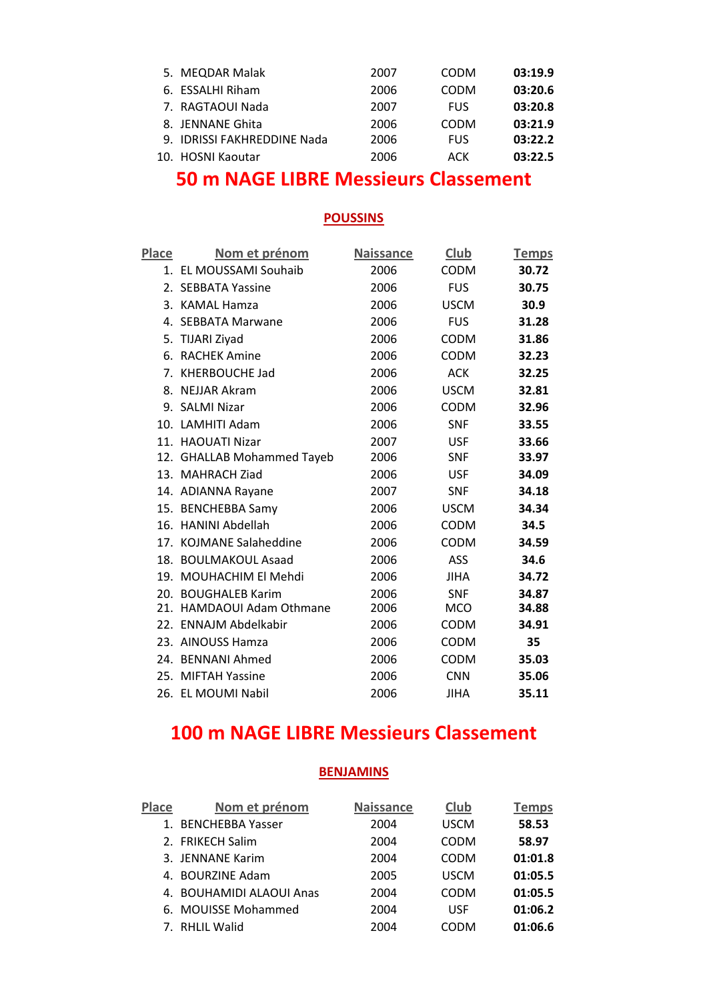| 5. MEQDAR Malak             | 2007 | <b>CODM</b> | 03:19.9 |
|-----------------------------|------|-------------|---------|
| 6. ESSALHI Riham            | 2006 | <b>CODM</b> | 03:20.6 |
| 7. RAGTAOUI Nada            | 2007 | <b>FUS</b>  | 03:20.8 |
| 8. JENNANE Ghita            | 2006 | <b>CODM</b> | 03:21.9 |
| 9. IDRISSI FAKHREDDINE Nada | 2006 | FUS         | 03:22.2 |
| 10. HOSNI Kaoutar           | 2006 | ACK         | 03:22.5 |

### **50 m NAGE LIBRE Messieurs Classement**

#### **POUSSINS**

| Place | <u>Nom et prénom</u>       | <b>Naissance</b> | Club        | <b>Temps</b> |
|-------|----------------------------|------------------|-------------|--------------|
|       | 1. EL MOUSSAMI Souhaib     | 2006             | <b>CODM</b> | 30.72        |
|       | 2. SEBBATA Yassine         | 2006             | <b>FUS</b>  | 30.75        |
|       | 3. KAMAL Hamza             | 2006             | <b>USCM</b> | 30.9         |
|       | 4. SEBBATA Marwane         | 2006             | <b>FUS</b>  | 31.28        |
|       | 5. TIJARI Ziyad            | 2006             | <b>CODM</b> | 31.86        |
|       | 6. RACHEK Amine            | 2006             | <b>CODM</b> | 32.23        |
|       | 7. KHERBOUCHE Jad          | 2006             | <b>ACK</b>  | 32.25        |
|       | 8. NEJJAR Akram            | 2006             | <b>USCM</b> | 32.81        |
|       | 9. SALMI Nizar             | 2006             | <b>CODM</b> | 32.96        |
|       | 10. LAMHITI Adam           | 2006             | <b>SNF</b>  | 33.55        |
|       | 11. HAOUATI Nizar          | 2007             | <b>USF</b>  | 33.66        |
|       | 12. GHALLAB Mohammed Tayeb | 2006             | <b>SNF</b>  | 33.97        |
|       | 13. MAHRACH Ziad           | 2006             | <b>USF</b>  | 34.09        |
|       | 14. ADIANNA Rayane         | 2007             | <b>SNF</b>  | 34.18        |
|       | 15. BENCHEBBA Samy         | 2006             | <b>USCM</b> | 34.34        |
|       | 16. HANINI Abdellah        | 2006             | <b>CODM</b> | 34.5         |
|       | 17. KOJMANE Salaheddine    | 2006             | <b>CODM</b> | 34.59        |
|       | 18. BOULMAKOUL Asaad       | 2006             | <b>ASS</b>  | 34.6         |
| 19.   | <b>MOUHACHIM El Mehdi</b>  | 2006             | <b>JIHA</b> | 34.72        |
|       | 20. BOUGHALEB Karim        | 2006             | <b>SNF</b>  | 34.87        |
| 21.   | HAMDAOUI Adam Othmane      | 2006             | <b>MCO</b>  | 34.88        |
|       | 22. ENNAJM Abdelkabir      | 2006             | <b>CODM</b> | 34.91        |
|       | 23. AINOUSS Hamza          | 2006             | <b>CODM</b> | 35           |
|       | 24. BENNANI Ahmed          | 2006             | <b>CODM</b> | 35.03        |
|       | 25. MIFTAH Yassine         | 2006             | <b>CNN</b>  | 35.06        |
|       | 26. EL MOUMI Nabil         | 2006             | <b>JIHA</b> | 35.11        |

## **100 m NAGE LIBRE Messieurs Classement**

| <b>Place</b> | Nom et prénom            | <b>Naissance</b> | Club        | <b>Temps</b> |
|--------------|--------------------------|------------------|-------------|--------------|
|              | 1. BENCHEBBA Yasser      | 2004             | <b>USCM</b> | 58.53        |
|              | 2. FRIKECH Salim         | 2004             | <b>CODM</b> | 58.97        |
|              | 3. JENNANE Karim         | 2004             | <b>CODM</b> | 01:01.8      |
|              | 4. BOURZINE Adam         | 2005             | <b>USCM</b> | 01:05.5      |
|              | 4. BOUHAMIDI ALAOUI Anas | 2004             | <b>CODM</b> | 01:05.5      |
|              | 6. MOUISSE Mohammed      | 2004             | <b>USF</b>  | 01:06.2      |
|              | 7. RHLIL Walid           | 2004             | CODM        | 01:06.6      |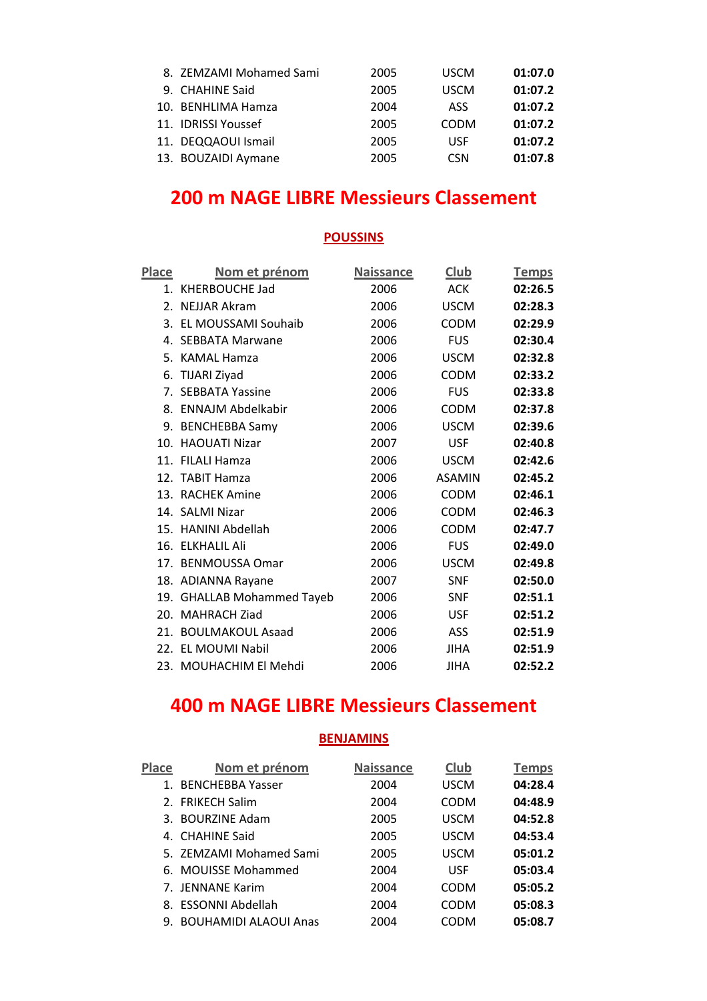| 8. ZEMZAMI Mohamed Sami | 2005 | <b>USCM</b> | 01:07.0 |
|-------------------------|------|-------------|---------|
| 9. CHAHINE Said         | 2005 | <b>USCM</b> | 01:07.2 |
| 10. BENHLIMA Hamza      | 2004 | ASS         | 01:07.2 |
| 11. IDRISSI Youssef     | 2005 | <b>CODM</b> | 01:07.2 |
| 11. DEQQAOUI Ismail     | 2005 | USF         | 01:07.2 |
| 13. BOUZAIDI Aymane     | 2005 | <b>CSN</b>  | 01:07.8 |

### **200 m NAGE LIBRE Messieurs Classement**

#### **POUSSINS**

| <b>Place</b> | <u>Nom et prénom</u>          | <b>Naissance</b> | <b>Club</b>   | <b>Temps</b> |
|--------------|-------------------------------|------------------|---------------|--------------|
|              | 1. KHERBOUCHE Jad             | 2006             | <b>ACK</b>    | 02:26.5      |
|              | 2. NEJJAR Akram               | 2006             | <b>USCM</b>   | 02:28.3      |
|              | 3. EL MOUSSAMI Souhaib        | 2006             | <b>CODM</b>   | 02:29.9      |
|              | 4. SEBBATA Marwane            | 2006             | <b>FUS</b>    | 02:30.4      |
|              | 5. KAMAL Hamza                | 2006             | <b>USCM</b>   | 02:32.8      |
|              | 6. TIJARI Ziyad               | 2006             | <b>CODM</b>   | 02:33.2      |
|              | 7. SEBBATA Yassine            | 2006             | <b>FUS</b>    | 02:33.8      |
|              | 8. ENNAJM Abdelkabir          | 2006             | <b>CODM</b>   | 02:37.8      |
|              | 9. BENCHEBBA Samy             | 2006             | <b>USCM</b>   | 02:39.6      |
| 10.          | <b>HAOUATI Nizar</b>          | 2007             | <b>USF</b>    | 02:40.8      |
|              | 11. FILALI Hamza              | 2006             | <b>USCM</b>   | 02:42.6      |
|              | 12. TABIT Hamza               | 2006             | <b>ASAMIN</b> | 02:45.2      |
|              | 13. RACHEK Amine              | 2006             | <b>CODM</b>   | 02:46.1      |
|              | 14. SALMI Nizar               | 2006             | CODM          | 02:46.3      |
|              | 15. HANINI Abdellah           | 2006             | <b>CODM</b>   | 02:47.7      |
|              | 16. ELKHALIL Ali              | 2006             | <b>FUS</b>    | 02:49.0      |
| 17.          | <b>BENMOUSSA Omar</b>         | 2006             | <b>USCM</b>   | 02:49.8      |
|              | 18. ADIANNA Rayane            | 2007             | <b>SNF</b>    | 02:50.0      |
| 19.          | <b>GHALLAB Mohammed Tayeb</b> | 2006             | <b>SNF</b>    | 02:51.1      |
| 20.          | <b>MAHRACH Ziad</b>           | 2006             | <b>USF</b>    | 02:51.2      |
| 21.          | <b>BOULMAKOUL Asaad</b>       | 2006             | ASS           | 02:51.9      |
| 22.          | <b>EL MOUMI Nabil</b>         | 2006             | JIHA          | 02:51.9      |
|              | 23. MOUHACHIM El Mehdi        | 2006             | <b>JIHA</b>   | 02:52.2      |
|              |                               |                  |               |              |

# **400 m NAGE LIBRE Messieurs Classement**

| Place   | Nom et prénom                | <b>Naissance</b> | Club        | <b>Temps</b> |
|---------|------------------------------|------------------|-------------|--------------|
| $1_{-}$ | <b>BENCHEBBA Yasser</b>      | 2004             | <b>USCM</b> | 04:28.4      |
|         | 2. FRIKECH Salim             | 2004             | <b>CODM</b> | 04:48.9      |
|         | 3. BOURZINE Adam             | 2005             | <b>USCM</b> | 04:52.8      |
|         | 4. CHAHINE Said              | 2005             | <b>USCM</b> | 04:53.4      |
|         | 5. ZEMZAMI Mohamed Sami      | 2005             | <b>USCM</b> | 05:01.2      |
|         | 6. MOUISSE Mohammed          | 2004             | <b>USF</b>  | 05:03.4      |
|         | 7. JENNANE Karim             | 2004             | <b>CODM</b> | 05:05.2      |
|         | 8. ESSONNI Abdellah          | 2004             | <b>CODM</b> | 05:08.3      |
| 9.      | <b>BOUHAMIDI ALAOUI Anas</b> | 2004             | CODM        | 05:08.7      |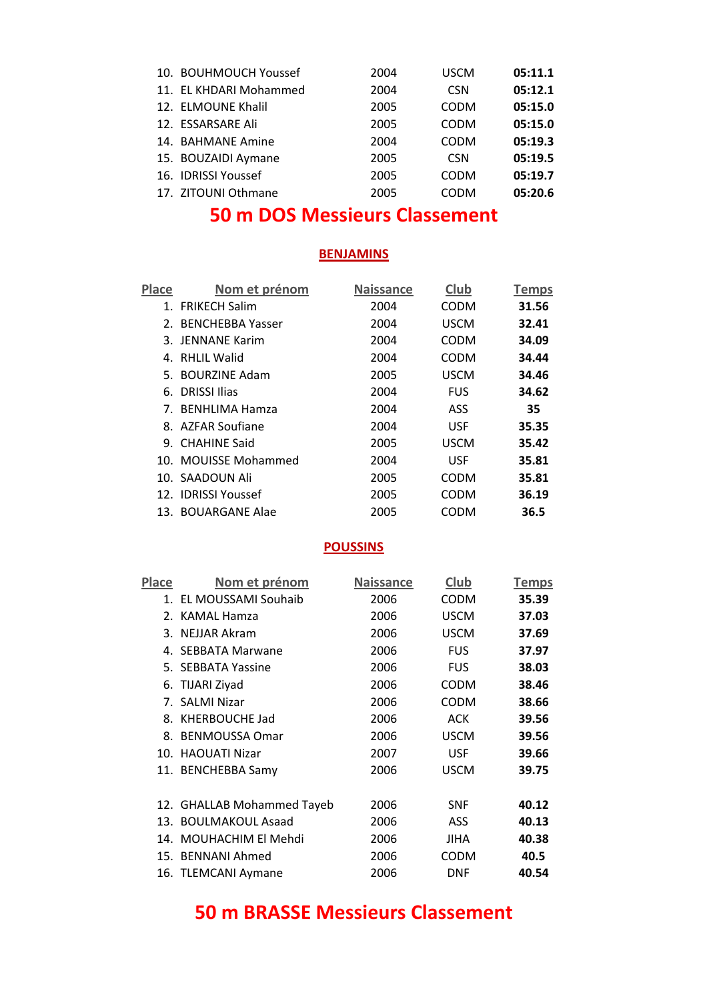| 10. BOUHMOUCH Youssef  | 2004 | <b>USCM</b> | 05:11.1 |
|------------------------|------|-------------|---------|
| 11. EL KHDARI Mohammed | 2004 | <b>CSN</b>  | 05:12.1 |
| 12. ELMOUNE Khalil     | 2005 | <b>CODM</b> | 05:15.0 |
| 12. ESSARSARE Ali      | 2005 | <b>CODM</b> | 05:15.0 |
| 14. BAHMANE Amine      | 2004 | <b>CODM</b> | 05:19.3 |
| 15. BOUZAIDI Aymane    | 2005 | <b>CSN</b>  | 05:19.5 |
| 16. IDRISSI Youssef    | 2005 | <b>CODM</b> | 05:19.7 |
| 17. ZITOUNI Othmane    | 2005 | CODM        | 05:20.6 |

### **50 m DOS Messieurs Classement**

#### **BENJAMINS**

| <b>Place</b> | Nom et prénom        | <b>Naissance</b> | Club        | <b>Temps</b> |
|--------------|----------------------|------------------|-------------|--------------|
|              | 1. FRIKECH Salim     | 2004             | CODM        | 31.56        |
|              | 2. BENCHEBBA Yasser  | 2004             | <b>USCM</b> | 32.41        |
|              | 3. JENNANE Karim     | 2004             | <b>CODM</b> | 34.09        |
|              | 4. RHLIL Walid       | 2004             | <b>CODM</b> | 34.44        |
|              | 5. BOURZINE Adam     | 2005             | <b>USCM</b> | 34.46        |
|              | 6. DRISSI Ilias      | 2004             | <b>FUS</b>  | 34.62        |
|              | 7. BENHLIMA Hamza    | 2004             | <b>ASS</b>  | 35           |
|              | 8. AZFAR Soufiane    | 2004             | <b>USF</b>  | 35.35        |
|              | 9. CHAHINE Said      | 2005             | <b>USCM</b> | 35.42        |
|              | 10. MOUISSE Mohammed | 2004             | <b>USF</b>  | 35.81        |
|              | 10. SAADOUN Ali      | 2005             | <b>CODM</b> | 35.81        |
|              | 12. IDRISSI Youssef  | 2005             | CODM        | 36.19        |
|              | 13. BOUARGANE Alae   | 2005             | CODM        | 36.5         |

#### **POUSSINS**

| Place | <u>Nom et prénom</u>       | <b>Naissance</b> | <b>Club</b> | <b>Temps</b> |
|-------|----------------------------|------------------|-------------|--------------|
|       | 1. EL MOUSSAMI Souhaib     | 2006             | <b>CODM</b> | 35.39        |
|       | 2. KAMAL Hamza             | 2006             | <b>USCM</b> | 37.03        |
|       | 3. NEJJAR Akram            | 2006             | <b>USCM</b> | 37.69        |
|       | 4. SEBBATA Marwane         | 2006             | <b>FUS</b>  | 37.97        |
|       | 5. SEBBATA Yassine         | 2006             | <b>FUS</b>  | 38.03        |
|       | 6. TIJARI Ziyad            | 2006             | <b>CODM</b> | 38.46        |
|       | 7. SALMI Nizar             | 2006             | <b>CODM</b> | 38.66        |
|       | 8. KHERBOUCHE Jad          | 2006             | ACK         | 39.56        |
|       | 8. BENMOUSSA Omar          | 2006             | <b>USCM</b> | 39.56        |
|       | 10. HAOUATI Nizar          | 2007             | <b>USF</b>  | 39.66        |
|       | 11. BENCHEBBA Samy         | 2006             | <b>USCM</b> | 39.75        |
|       |                            |                  |             |              |
|       | 12. GHALLAB Mohammed Tayeb | 2006             | <b>SNF</b>  | 40.12        |
| 13.   | <b>BOULMAKOUL Asaad</b>    | 2006             | ASS         | 40.13        |
|       | 14. MOUHACHIM El Mehdi     | 2006             | JIHA        | 40.38        |
|       | 15. BENNANI Ahmed          | 2006             | <b>CODM</b> | 40.5         |
|       | 16. TLEMCANI Aymane        | 2006             | <b>DNF</b>  | 40.54        |

### **50 m BRASSE Messieurs Classement**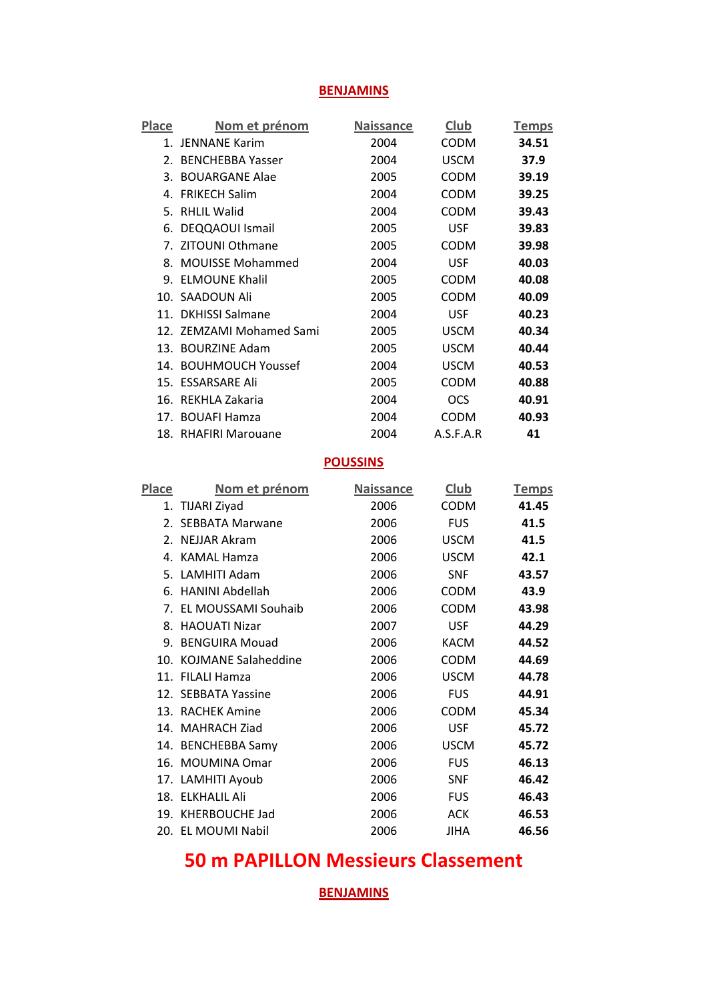### **BENJAMINS**

| Place | <u>Nom et prénom</u>     | <b>Naissance</b> | <b>Club</b> | <u>Temps</u> |
|-------|--------------------------|------------------|-------------|--------------|
|       | 1. JENNANE Karim         | 2004             | <b>CODM</b> | 34.51        |
|       | 2. BENCHEBBA Yasser      | 2004             | <b>USCM</b> | 37.9         |
|       | 3. BOUARGANE Alae        | 2005             | <b>CODM</b> | 39.19        |
|       | 4. FRIKECH Salim         | 2004             | CODM        | 39.25        |
|       | 5. RHLIL Walid           | 2004             | <b>CODM</b> | 39.43        |
|       | 6. DEQQAOUI Ismail       | 2005             | <b>USF</b>  | 39.83        |
|       | 7. ZITOUNI Othmane       | 2005             | <b>CODM</b> | 39.98        |
|       | 8. MOUISSE Mohammed      | 2004             | <b>USF</b>  | 40.03        |
|       | 9. ELMOUNE Khalil        | 2005             | CODM        | 40.08        |
|       | 10. SAADOUN Ali          | 2005             | <b>CODM</b> | 40.09        |
|       | 11. DKHISSI Salmane      | 2004             | <b>USF</b>  | 40.23        |
|       | 12. ZEMZAMI Mohamed Sami | 2005             | <b>USCM</b> | 40.34        |
|       | 13. BOURZINE Adam        | 2005             | <b>USCM</b> | 40.44        |
|       | 14. BOUHMOUCH Youssef    | 2004             | <b>USCM</b> | 40.53        |
|       | 15. ESSARSARE Ali        | 2005             | <b>CODM</b> | 40.88        |
|       | 16. REKHLA Zakaria       | 2004             | <b>OCS</b>  | 40.91        |
|       | 17. BOUAFI Hamza         | 2004             | <b>CODM</b> | 40.93        |
|       | 18. RHAFIRI Marouane     | 2004             | A.S.F.A.R   | 41           |
|       |                          | <b>POUSSINS</b>  |             |              |
| Place | Nom et prénom            | <b>Naissance</b> | <b>Club</b> | <b>Temps</b> |
|       |                          |                  |             |              |
|       | 1. TIJARI Ziyad          | 2006             | <b>CODM</b> | 41.45        |
|       | 2. SEBBATA Marwane       | 2006             | <b>FUS</b>  | 41.5         |
|       | 2. NEJJAR Akram          | 2006             | <b>USCM</b> | 41.5         |
|       | 4. KAMAL Hamza           | 2006             | <b>USCM</b> | 42.1         |
|       | 5. LAMHITI Adam          | 2006             | <b>SNF</b>  | 43.57        |
|       | 6. HANINI Abdellah       | 2006             | <b>CODM</b> | 43.9         |
|       | 7. EL MOUSSAMI Souhaib   | 2006             | <b>CODM</b> | 43.98        |
|       | 8. HAOUATI Nizar         | 2007             | <b>USF</b>  | 44.29        |
|       | 9. BENGUIRA Mouad        | 2006             | <b>KACM</b> | 44.52        |
|       | 10. KOJMANE Salaheddine  | 2006             | <b>CODM</b> | 44.69        |
|       | 11. FILALI Hamza         | 2006             | <b>USCM</b> | 44.78        |
|       | 12. SEBBATA Yassine      | 2006             | <b>FUS</b>  | 44.91        |
|       | 13. RACHEK Amine         | 2006             | <b>CODM</b> | 45.34        |
|       | 14. MAHRACH Ziad         | 2006             | <b>USF</b>  | 45.72        |
|       | 14. BENCHEBBA Samy       | 2006             | <b>USCM</b> | 45.72        |
|       | 16. MOUMINA Omar         | 2006             | <b>FUS</b>  | 46.13        |
|       | 17. LAMHITI Ayoub        | 2006             | <b>SNF</b>  | 46.42        |
|       | 18. ELKHALIL Ali         | 2006             | <b>FUS</b>  | 46.43        |
|       | 19. KHERBOUCHE Jad       | 2006             | <b>ACK</b>  | 46.53        |

# **50 m PAPILLON Messieurs Classement**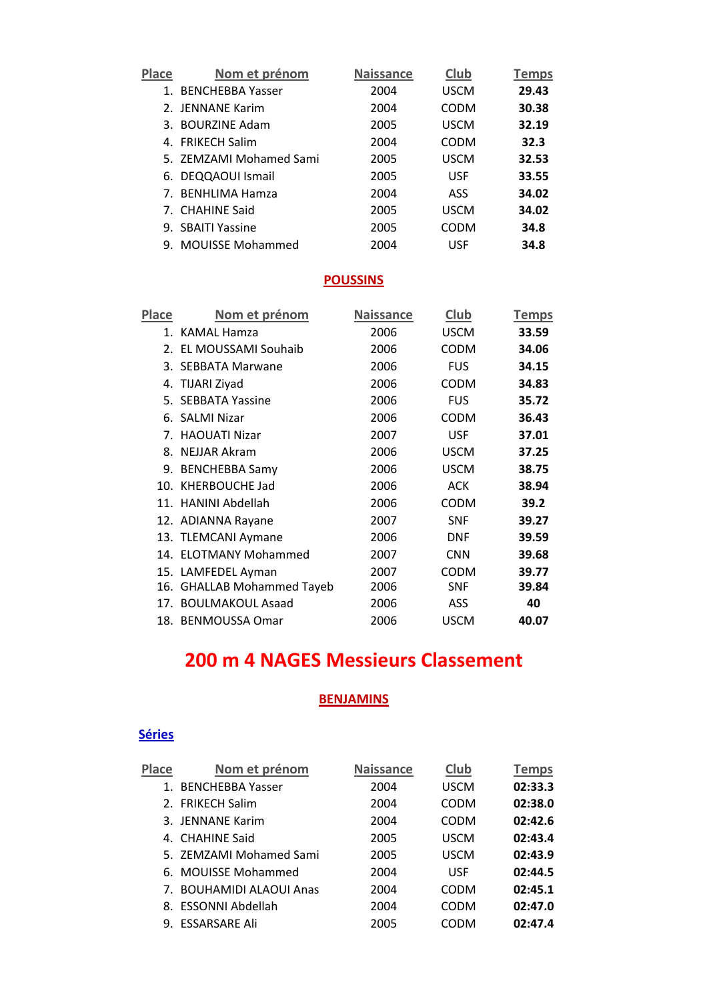| Place | Nom et prénom           | <b>Naissance</b> | <b>Club</b> | Temps |
|-------|-------------------------|------------------|-------------|-------|
| 1.    | <b>BENCHEBBA Yasser</b> | 2004             | <b>USCM</b> | 29.43 |
|       | 2. JENNANE Karim        | 2004             | <b>CODM</b> | 30.38 |
|       | 3. BOURZINE Adam        | 2005             | <b>USCM</b> | 32.19 |
|       | 4. FRIKECH Salim        | 2004             | <b>CODM</b> | 32.3  |
|       | 5. ZEMZAMI Mohamed Sami | 2005             | <b>USCM</b> | 32.53 |
|       | 6. DEQQAOUI Ismail      | 2005             | <b>USF</b>  | 33.55 |
|       | 7. BENHLIMA Hamza       | 2004             | ASS         | 34.02 |
|       | 7. CHAHINE Said         | 2005             | <b>USCM</b> | 34.02 |
|       | 9. SBAITI Yassine       | 2005             | <b>CODM</b> | 34.8  |
|       | 9. MOUISSE Mohammed     | 2004             | USF         | 34.8  |

| Place | <u>Nom et prénom</u>       | <b>Naissance</b> | <b>Club</b> | <b>Temps</b> |
|-------|----------------------------|------------------|-------------|--------------|
|       | 1. KAMAL Hamza             | 2006             | <b>USCM</b> | 33.59        |
|       | 2. EL MOUSSAMI Souhaib     | 2006             | CODM        | 34.06        |
|       | 3. SEBBATA Marwane         | 2006             | <b>FUS</b>  | 34.15        |
|       | 4. TIJARI Ziyad            | 2006             | CODM        | 34.83        |
|       | 5. SEBBATA Yassine         | 2006             | <b>FUS</b>  | 35.72        |
|       | 6. SALMI Nizar             | 2006             | CODM        | 36.43        |
| 7.    | <b>HAOUATI Nizar</b>       | 2007             | <b>USF</b>  | 37.01        |
| 8.    | NEJJAR Akram               | 2006             | <b>USCM</b> | 37.25        |
|       | 9. BENCHEBBA Samy          | 2006             | <b>USCM</b> | 38.75        |
| 10.   | <b>KHERBOUCHE Jad</b>      | 2006             | ACK         | 38.94        |
|       | 11. HANINI Abdellah        | 2006             | CODM        | 39.2         |
|       | 12. ADIANNA Rayane         | 2007             | <b>SNF</b>  | 39.27        |
|       | 13. TLEMCANI Aymane        | 2006             | <b>DNF</b>  | 39.59        |
|       | 14. ELOTMANY Mohammed      | 2007             | <b>CNN</b>  | 39.68        |
|       | 15. LAMFEDEL Ayman         | 2007             | CODM        | 39.77        |
|       | 16. GHALLAB Mohammed Tayeb | 2006             | <b>SNF</b>  | 39.84        |
|       | 17. BOULMAKOUL Asaad       | 2006             | ASS         | 40           |
|       | 18. BENMOUSSA Omar         | 2006             | <b>USCM</b> | 40.07        |

# **200 m 4 NAGES Messieurs Classement**

### **BENJAMINS**

#### **Séries**

| Place          | Nom et prénom            | <b>Naissance</b> | Club        | <b>Temps</b> |
|----------------|--------------------------|------------------|-------------|--------------|
| $\mathbf{1}$ . | <b>BENCHEBBA Yasser</b>  | 2004             | <b>USCM</b> | 02:33.3      |
|                | 2. FRIKECH Salim         | 2004             | <b>CODM</b> | 02:38.0      |
|                | 3. JENNANE Karim         | 2004             | CODM        | 02:42.6      |
|                | 4. CHAHINE Said          | 2005             | <b>USCM</b> | 02:43.4      |
|                | 5. ZEMZAMI Mohamed Sami  | 2005             | <b>USCM</b> | 02:43.9      |
|                | 6. MOUISSE Mohammed      | 2004             | <b>USF</b>  | 02:44.5      |
|                | 7. BOUHAMIDI ALAOUI Anas | 2004             | CODM        | 02:45.1      |
|                | 8. ESSONNI Abdellah      | 2004             | CODM        | 02:47.0      |
|                | 9. ESSARSARE Ali         | 2005             | CODM        | 02:47.4      |